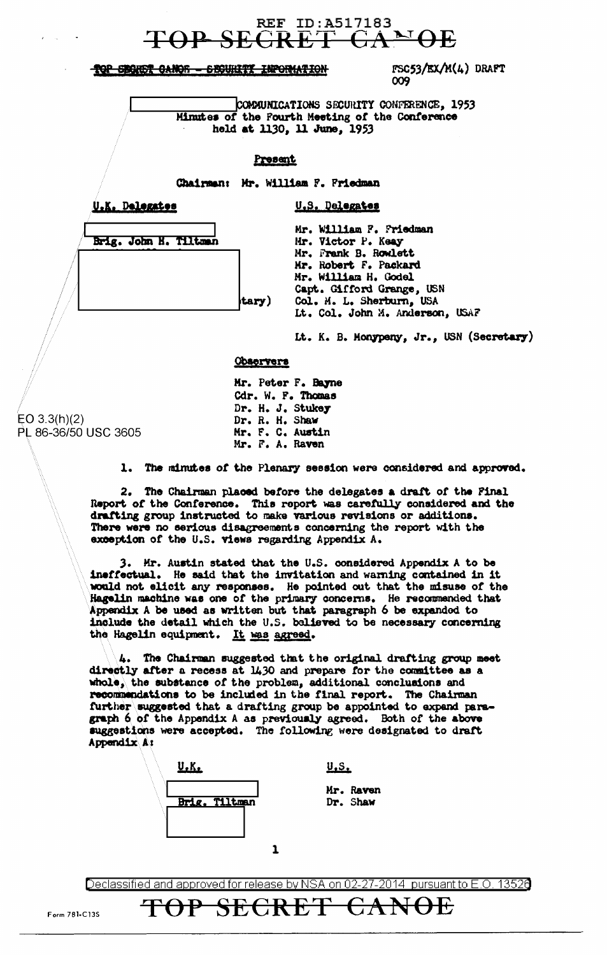# **REF ID:A517183**

TOP SEGRET CANOR - SECURITY INFORMATION

FSC53/EX/M(4) DRAFT 009

COMMUNICATIONS SECURITY CONFERENCE, 1953 Minutes of the Pourth Meeting of the Conference held at 1130, 11 June, 1953

U.S. Delegates

### Present

Chairman: Mr. William F. Friedman

U.K. Delegates

Brig. John H. Tiltman

| Mr. William F. Friedman         |
|---------------------------------|
| Mr. Victor P. Keay              |
| Mr. Frank B. Rowlett            |
| Mr. Robert F. Packard           |
| Mr. William H. Godel            |
| Capt. Gifford Grange, USN       |
| Col. M. L. Sherburn, USA        |
| Lt. Col. John M. Anderson, USAF |
|                                 |

It. K. B. Monypeny, Jr., USN (Secretary)

#### **Observers**

tary

Mr. Peter F. Bayne Cdr. W. F. Thomas Dr. H. J. Stukey Dr. R. H. Shaw Mr. F. C. Austin Mr. F. A. Raven

 $EO 3.3(h)(2)$ PL 86-36/50 USC 3605

1. The minutes of the Plenary session were considered and approved.

2. The Chairman placed before the delegates a draft of the Final Report of the Conference. This report was carefully considered and the drafting group instructed to make various revisions or additions. There were no serious disagreements concerning the report with the exception of the U.S. views regarding Appendix A.

3. Mr. Austin stated that the U.S. considered Appendix A to be ineffectual. He said that the invitation and warning contained in it would not elicit any responses. He pointed out that the misuse of the Hagelin machine was one of the primary concerns. He recommended that Appendix A be used as written but that paragraph 6 be expanded to include the detail which the U.S. believed to be necessary concerning the Hagelin equipment. It was agreed.

4. The Chairman suggested that the original drafting group meet directly after a recess at 1430 and prepare for the committee as a whole, the substance of the problem, additional conclusions and recommendations to be included in the final report. The Chairman further suggested that a drafting group be appointed to expand paragraph 6 of the Appendix A as previously agreed. Both of the above suggestions were accepted. The following were designated to draft Appendix A:



TOP SECRET

 $U.S.$ 

Mr. Raven Dr. Shaw

CANOE

Declassified and approved for release by NSA on 02-27-2014 pursuant to E.O. 13526

Form 781-C13S